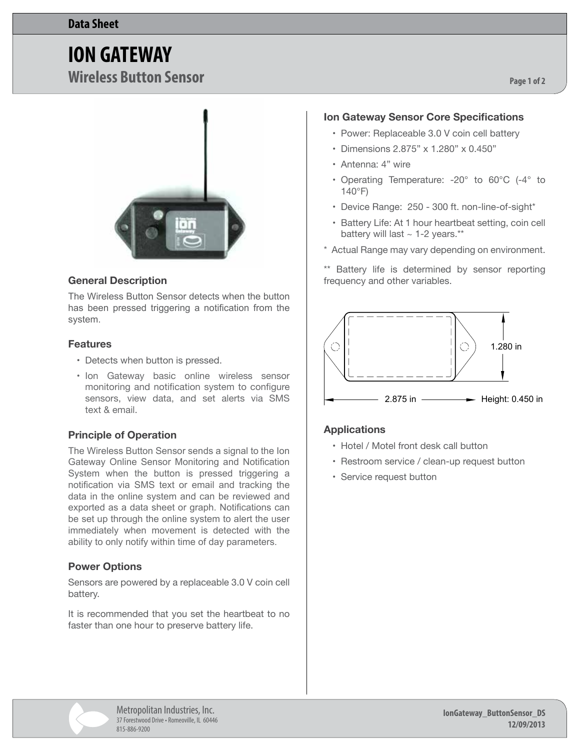# **ION GATEWAY**

**Wireless Button Sensor**



### **General Description**

The Wireless Button Sensor detects when the button has been pressed triggering a notification from the system.

#### **Features**

- Detects when button is pressed.
- Ion Gateway basic online wireless sensor monitoring and notification system to configure sensors, view data, and set alerts via SMS text & email.

### **Principle of Operation**

The Wireless Button Sensor sends a signal to the Ion Gateway Online Sensor Monitoring and Notification System when the button is pressed triggering a notification via SMS text or email and tracking the data in the online system and can be reviewed and exported as a data sheet or graph. Notifications can be set up through the online system to alert the user immediately when movement is detected with the ability to only notify within time of day parameters.

# **Power Options**

Sensors are powered by a replaceable 3.0 V coin cell battery.

It is recommended that you set the heartbeat to no faster than one hour to preserve battery life.

# **Ion Gateway Sensor Core Specifications**

**Page 1 of 2**

- Power: Replaceable 3.0 V coin cell battery
- • Dimensions 2.875" x 1.280" x 0.450"
- • Antenna: 4" wire
- • Operating Temperature: -20° to 60°C (-4° to 140°F)
- Device Range: 250 300 ft. non-line-of-sight\*
- Battery Life: At 1 hour heartbeat setting, coin cell battery will last ~ 1-2 years.\*\*
- \* Actual Range may vary depending on environment.

\*\* Battery life is determined by sensor reporting frequency and other variables.



# **Applications**

- • Hotel / Motel front desk call button
- Restroom service / clean-up request button
- Service request button